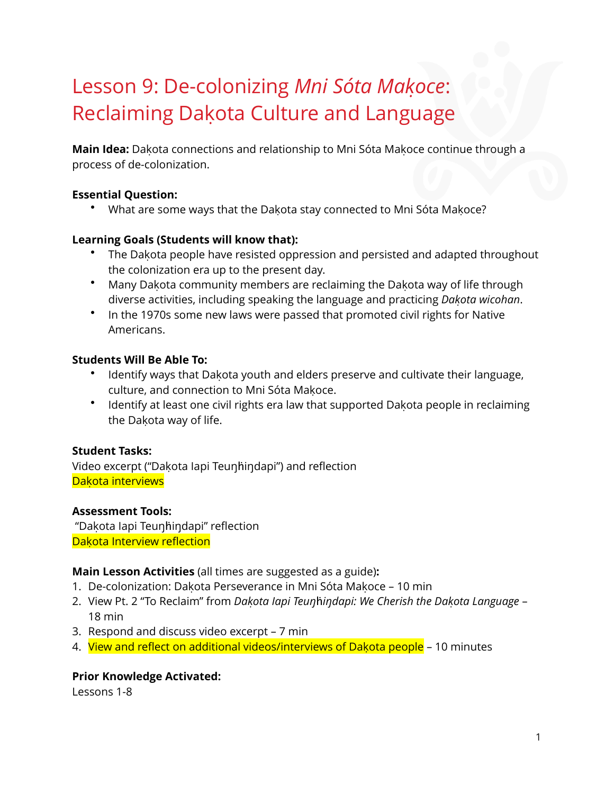# Lesson 9: De-colonizing *Mni Sóta Makoc̣ e*: Reclaiming Dakota Culture and Language

**Main Idea:** Dakota connections and relationship to Mni Sóta Makoce continue through a process of de-colonization.

# **Essential Question:**

• What are some ways that the Dakota stay connected to Mni Sóta Makoce?

# **Learning Goals (Students will know that):**

- The Dakota people have resisted oppression and persisted and adapted throughout the colonization era up to the present day.
- Many Dakota community members are reclaiming the Dakota way of life through diverse activities, including speaking the language and practicing *Dakoṭ a wicohan*.
- In the 1970s some new laws were passed that promoted civil rights for Native Americans.

# **Students Will Be Able To:**

- Identify ways that Dakota youth and elders preserve and cultivate their language, culture, and connection to Mni Sóta Makoce.
- Identify at least one civil rights era law that supported Dakota people in reclaiming the Dakota way of life.

# **Student Tasks:**

Video excerpt ("Dakota lapi Teunhindapi") and reflection Dakota interviews

# **Assessment Tools:**

"Dakota lapi Teunhindapi" reflection Dakota Interview reflection

# **Main Lesson Activities** (all times are suggested as a guide)**:**

- 1. De-colonization: Dakota Perseverance in Mni Sóta Makoce 10 min
- 2. View Pt. 2 "To Reclaim" from *Dakoṭ a Iapi Teuŋ*ḣ*iŋdapi: We Cherish the Dakoṭ a Language* 18 min
- 3. Respond and discuss video excerpt 7 min
- 4. View and reflect on additional videos/interviews of Dakota people 10 minutes

# **Prior Knowledge Activated:**

Lessons 1-8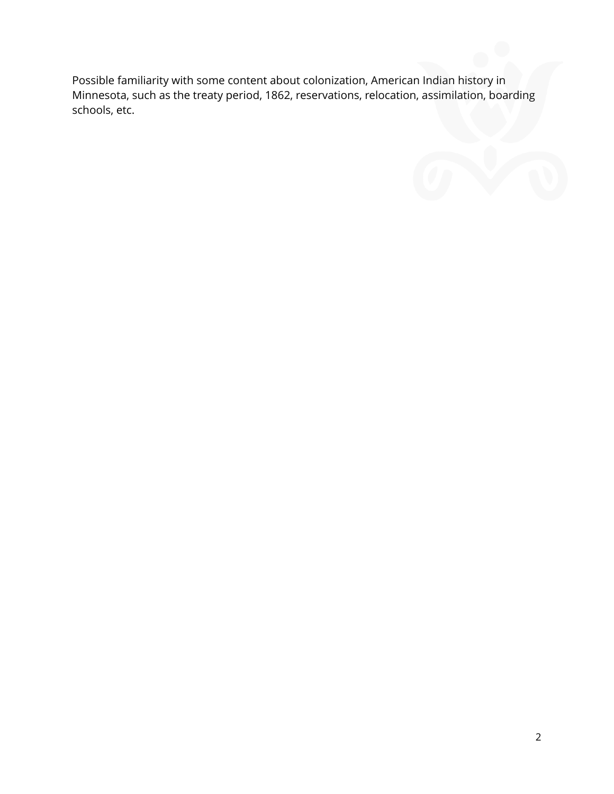Possible familiarity with some content about colonization, American Indian history in Minnesota, such as the treaty period, 1862, reservations, relocation, assimilation, boarding schools, etc.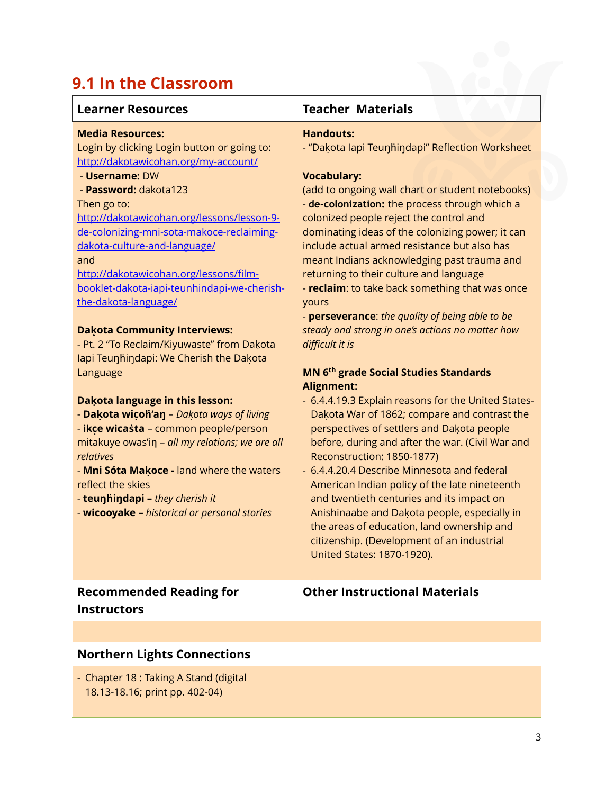# **9.1 In the Classroom**

### **Learner Resources Teacher Materials**

#### **Media Resources:**

Login by clicking Login button or going to: <http://dakotawicohan.org/my-account/>

#### - **Username:** DW

- **Password:** dakota123

#### Then go to:

[http://dakotawicohan.org/lessons/lesson-9](http://dakotawicohan.org/lessons/lesson-9-de-colonizing-mni-sota-makoce-reclaiming-dakota-culture-and-language/) de-colonizing-mni-sota-makoce-reclaimingdakota-culture-and-language/

### and

http://dakotawicohan.org/lessons/film[booklet-dakota-iapi-teunhindapi-we-cherish](http://dakotawicohan.org/lessons/film-booklet-dakota-iapi-teunhindapi-we-cherish-the-dakota-language/)the-dakota-language/

#### **Daḳota Community Interviews:**

- Pt. 2 "To Reclaim/Kiyuwaste" from Dakota lapi Teunhindapi: We Cherish the Dakota Language

#### **Dakọ ta language in this lesson:**

- **Dakọ ta wicọ ḣ'aŋ** *Dakoṭ a ways of living*
- **ikcẹ wicaṡta** common people/person mitakuye owas'in - all my relations; we are all *relatives*

- **Mni Sóta Makọ ce -** land where the waters reflect the skies

- **teuŋḣiŋdapi –** *they cherish it*

- **wicooyake –** *historical or personal stories*

#### **Handouts:**

- "Dakota lapi Teunhindapi" Reflection Worksheet

#### **Vocabulary:**

(add to ongoing wall chart or student notebooks) - **de-colonization:** the process through which a colonized people reject the control and dominating ideas of the colonizing power; it can include actual armed resistance but also has meant Indians acknowledging past trauma and returning to their culture and language - **reclaim**: to take back something that was once yours

- **perseverance**: *the quality of being able to be steady and strong in one's actions no matter how difficult it is*

# **MN 6th grade Social Studies Standards Alignment:**

- 6.4.4.19.3 Explain reasons for the United States-Dakota War of 1862; compare and contrast the perspectives of settlers and Dakota people before, during and after the war. (Civil War and Reconstruction: 1850-1877)
- 6.4.4.20.4 Describe Minnesota and federal American Indian policy of the late nineteenth and twentieth centuries and its impact on Anishinaabe and Dakota people, especially in the areas of education, land ownership and citizenship. (Development of an industrial United States: 1870-1920).

# **Recommended Reading for Instructors**

# **Other Instructional Materials**

# **Northern Lights Connections**

- Chapter 18 : Taking A Stand (digital 18.13-18.16; print pp. 402-04)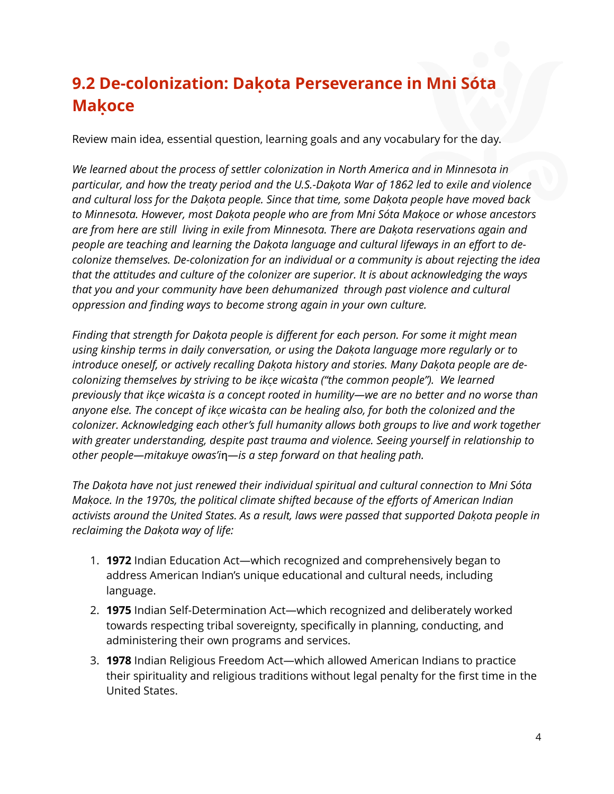# **9.2 De-colonization: Dakọ ta Perseverance in Mni Sóta Makọ ce**

Review main idea, essential question, learning goals and any vocabulary for the day.

*We learned about the process of settler colonization in North America and in Minnesota in particular, and how the treaty period and the U.S.-Dakoṭ a War of 1862 led to exile and violence* and cultural loss for the Dakota people. Since that time, some Dakota people have moved back *to Minnesota. However, most Dakoṭ a people who are from Mni Sóta Makoc̣ e or whose ancestors are from here are still living in exile from Minnesota. There are Dakoṭ a reservations again and people are teaching and learning the Dakoṭ a language and cultural lifeways in an effort to decolonize themselves. De-colonization for an individual or a community is about rejecting the idea that the attitudes and culture of the colonizer are superior. It is about acknowledging the ways that you and your community have been dehumanized through past violence and cultural oppression and finding ways to become strong again in your own culture.* 

*Finding that strength for Dakoṭ a people is different for each person. For some it might mean using kinship terms in daily conversation, or using the Dakoṭ a language more regularly or to introduce oneself, or actively recalling Dakoṭ a history and stories. Many Dakoṭ a people are decolonizing themselves by striving to be ikcẹ wica*ṡ*ta ("the common people"). We learned previously that ikcẹ wica*ṡ*ta is a concept rooted in humility—we are no better and no worse than anyone else. The concept of ikcẹ wica*ṡ*ta can be healing also, for both the colonized and the colonizer. Acknowledging each other's full humanity allows both groups to live and work together with greater understanding, despite past trauma and violence. Seeing yourself in relationship to other people—mitakuye owas'i*ƞ*—is a step forward on that healing path.* 

*The Dakoṭ a have not just renewed their individual spiritual and cultural connection to Mni Sóta Makoc̣ e. In the 1970s, the political climate shifted because of the efforts of American Indian* activists around the United States. As a result, laws were passed that supported Dakota people in *reclaiming the Dakoṭ a way of life:*

- 1. **1972** Indian Education Act—which recognized and comprehensively began to address American Indian's unique educational and cultural needs, including language.
- 2. **1975** Indian Self-Determination Act—which recognized and deliberately worked towards respecting tribal sovereignty, specifically in planning, conducting, and administering their own programs and services.
- 3. **1978** Indian Religious Freedom Act—which allowed American Indians to practice their spirituality and religious traditions without legal penalty for the first time in the United States.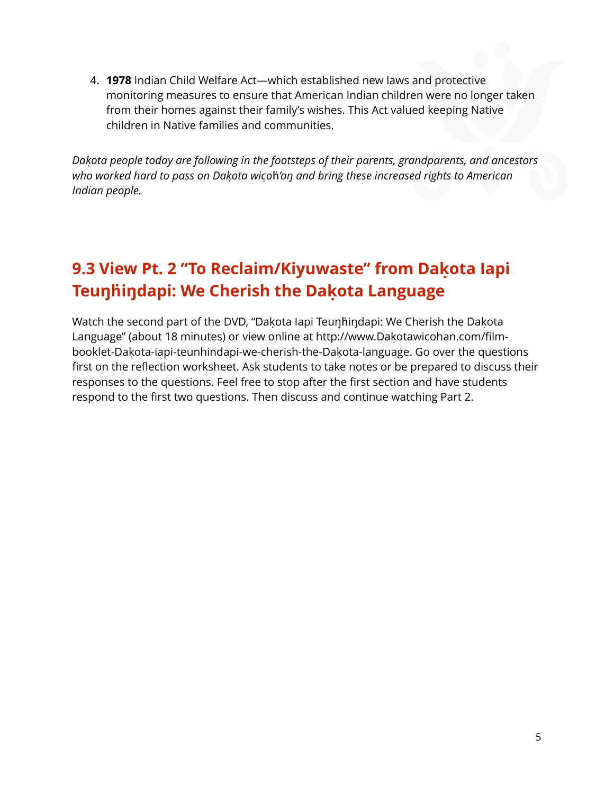4. **1978** Indian Child Welfare Act—which established new laws and protective monitoring measures to ensure that American Indian children were no longer taken from their homes against their family's wishes. This Act valued keeping Native children in Native families and communities.

*Dakoṭ a people today are following in the footsteps of their parents, grandparents, and ancestors who worked hard to pass on Dakoṭ a wicọ* ḣ*'aŋ and bring these increased rights to American Indian people.* 

# **9.3 View Pt. 2 "To Reclaim/Kiyuwaste" from Dakọ ta Iapi Teuŋḣiŋdapi: We Cherish the Dakọ ta Language**

Watch the second part of the DVD, "Dakota lapi Teunhindapi: We Cherish the Dakota Language" (about 18 minutes) or view online at [http://www.Dakota](http://www.dakotawicohan.com/film-booklet-dakota-iapi-teunhindapi-we-cherish-the-dakota-language)wicohan.com/film-booklet-Dakota[-iapi-teunhindapi-we-cherish-the-Dakota](http://www.dakotawicohan.com/film-booklet-dakota-iapi-teunhindapi-we-cherish-the-dakota-language)-language. Go over the questions first on the reflection worksheet. Ask students to take notes or be prepared to discuss their responses to the questions. Feel free to stop after the first section and have students respond to the first two questions. Then discuss and continue watching Part 2.